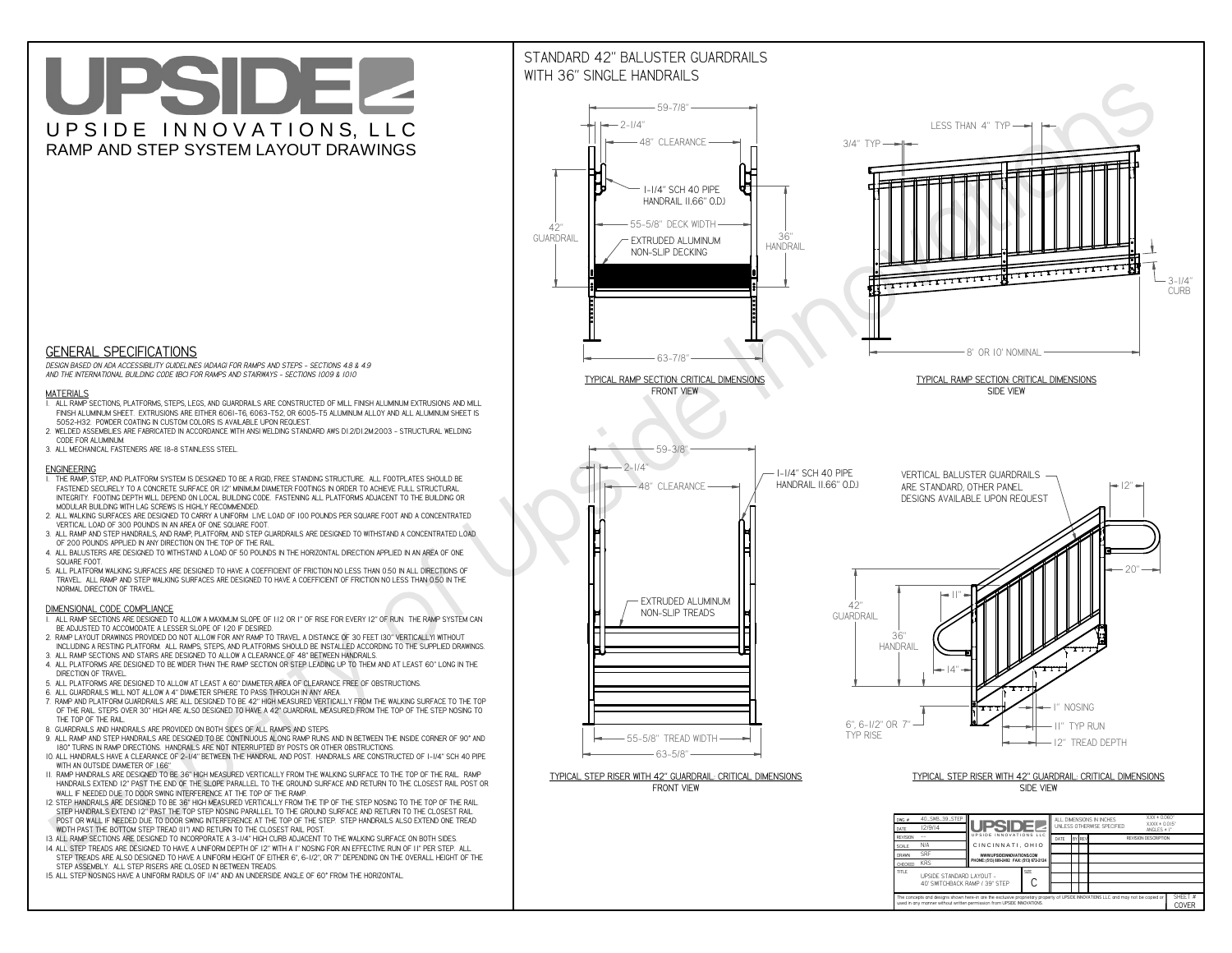**used in any manner without written permission from UPSIDE INNOVATIONS.**

# UPSIDEL UPSIDE INNOVATIONS, LLC RAMP AND STEP SYSTEM LAYOUT DRAWINGS

SHEET #**COVER**



The concepts and designs shown here-in are the exclusive proprietary property of UPSIDE INNOVATIONS LLC. and may not be copied o

**I** 

# WITH 36" SINGLE HANDRAILS



 *DESIGN BASED ON ADA ACCESSIBILITY GUIDELINES (ADAAG) FOR RAMPS AND STEPS - SECTIONS 4.8 & 4.9AND THE INTERNATIONAL BUILDING CODE (IBC) FOR RAMPS AND STAIRWAYS - SECTIONS 1009 & 1010*

### **MATERIALS**

- **1. ALL RAMP SECTIONS, PLATFORMS, STEPS, LEGS, AND GUARDRAILS ARE CONSTRUCTED OF MILL FINISH ALUMINUM EXTRUSIONS AND MILL FINISH ALUMINUM SHEET. EXTRUSIONS ARE EITHER 6061-T6, 6063-T52, OR 6005-T5 ALUMINUM ALLOY AND ALL ALUMINUM SHEET IS 5052-H32. POWDER COATING IN CUSTOM COLORS IS AVAILABLE UPON REQUEST.**
- **2. WELDED ASSEMBLIES ARE FABRICATED IN ACCORDANCE WITH ANSI WELDING STANDARD AWS D1.2/D1.2M:2003 STRUCTURAL WELDING CODE FOR ALUMINUM.**
- **3. ALL MECHANICAL FASTENERS ARE 18-8 STAINLESS STEEL.**

#### **ENGINEERING**

- **1. THE RAMP, STEP, AND PLATFORM SYSTEM IS DESIGNED TO BE A RIGID, FREE STANDING STRUCTURE. ALL FOOTPLATES SHOULD BE FASTENED SECURELY TO A CONCRETE SURFACE OR 12" MINIMUM DIAMETER FOOTINGS IN ORDER TO ACHIEVE FULL STRUCTURAL INTEGRITY. FOOTING DEPTH WILL DEPEND ON LOCAL BUILDING CODE. FASTENING ALL PLATFORMS ADJACENT TO THE BUILDING OR MODULAR BUILDING WITH LAG SCREWS IS HIGHLY RECOMMENDED.**
- **2. ALL WALKING SURFACES ARE DESIGNED TO CARRY A UNIFORM LIVE LOAD OF 100 POUNDS PER SQUARE FOOT AND A CONCENTRATED VERTICAL LOAD OF 300 POUNDS IN AN AREA OF ONE SQUARE FOOT.**
- **3. ALL RAMP AND STEP HANDRAILS, AND RAMP, PLATFORM, AND STEP GUARDRAILS ARE DESIGNED TO WITHSTAND A CONCENTRATED LOAD OF 200 POUNDS APPLIED IN ANY DIRECTION ON THE TOP OF THE RAIL.**
- **4. ALL BALUSTERS ARE DESIGNED TO WITHSTAND A LOAD OF 50 POUNDS IN THE HORIZONTAL DIRECTION APPLIED IN AN AREA OF ONE SQUARE FOOT.**
- **5. ALL PLATFORM WALKING SURFACES ARE DESIGNED TO HAVE A COEFFICIENT OF FRICTION NO LESS THAN 0.50 IN ALL DIRECTIONS OF TRAVEL. ALL RAMP AND STEP WALKING SURFACES ARE DESIGNED TO HAVE A COEFFICIENT OF FRICTION NO LESS THAN 0.50 IN THE NORMAL DIRECTION OF TRAVEL.**

### **DIMENSIONAL CODE COMPLIANCE**

- **1. ALL RAMP SECTIONS ARE DESIGNED TO ALLOW A MAXIMUM SLOPE OF 1:12 OR 1" OF RISE FOR EVERY 12" OF RUN. THE RAMP SYSTEM CAN BE ADJUSTED TO ACCOMODATE A LESSER SLOPE OF 1:20 IF DESIRED.**
- **2. RAMP LAYOUT DRAWINGS PROVIDED DO NOT ALLOW FOR ANY RAMP TO TRAVEL A DISTANCE OF 30 FEET (30" VERTICALLY) WITHOUT INCLUDING A RESTING PLATFORM. ALL RAMPS, STEPS, AND PLATFORMS SHOULD BE INSTALLED ACCORDING TO THE SUPPLIED DRAWINGS.**
- **3. ALL RAMP SECTIONS AND STAIRS ARE DESIGNED TO ALLOW A CLEARANCE OF 48" BETWEEN HANDRAILS.**
- **4. ALL PLATFORMS ARE DESIGNED TO BE WIDER THAN THE RAMP SECTION OR STEP LEADING UP TO THEM AND AT LEAST 60" LONG IN THE DIRECTION OF TRAVEL.**
- **5. ALL PLATFORMS ARE DESIGNED TO ALLOW AT LEAST A 60" DIAMETER AREA OF CLEARANCE FREE OF OBSTRUCTIONS.**
- **6. ALL GUARDRAILS WILL NOT ALLOW A 4" DIAMETER SPHERE TO PASS THROUGH IN ANY AREA.**
- **7. RAMP AND PLATFORM GUARDRAILS ARE ALL DESIGNED TO BE 42" HIGH MEASURED VERTICALLY FROM THE WALKING SURFACE TO THE TOP OF THE RAIL. STEPS OVER 30" HIGH ARE ALSO DESIGNED TO HAVE A 42" GUARDRAIL MEASURED FROM THE TOP OF THE STEP NOSING TO THE TOP OF THE RAIL.**
- **8. GUARDRAILS AND HANDRAILS ARE PROVIDED ON BOTH SIDES OF ALL RAMPS AND STEPS.**
- **9. ALL RAMP AND STEP HANDRAILS ARE DESIGNED TO BE CONTINUOUS ALONG RAMP RUNS AND IN BETWEEN THE INSIDE CORNER OF 90° AND 180° TURNS IN RAMP DIRECTIONS. HANDRAILS ARE NOT INTERRUPTED BY POSTS OR OTHER OBSTRUCTIONS.**
- **10. ALL HANDRAILS HAVE A CLEARANCE OF 2-1/4" BETWEEN THE HANDRAIL AND POST. HANDRAILS ARE CONSTRUCTED OF 1-1/4" SCH 40 PIPE WITH AN OUTSIDE DIAMETER OF 1.66"**
- **11. RAMP HANDRAILS ARE DESIGNED TO BE 36" HIGH MEASURED VERTICALLY FROM THE WALKING SURFACE TO THE TOP OF THE RAIL. RAMP HANDRAILS EXTEND 12" PAST THE END OF THE SLOPE PARALLEL TO THE GROUND SURFACE AND RETURN TO THE CLOSEST RAIL POST OR WALL IF NEEDED DUE TO DOOR SWING INTERFERENCE AT THE TOP OF THE RAMP.**
- **12. STEP HANDRAILS ARE DESIGNED TO BE 36" HIGH MEASURED VERTICALLY FROM THE TIP OF THE STEP NOSING TO THE TOP OF THE RAIL. STEP HANDRAILS EXTEND 12" PAST THE TOP STEP NOSING PARALLEL TO THE GROUND SURFACE AND RETURN TO THE CLOSEST RAIL POST OR WALL IF NEEDED DUE TO DOOR SWING INTERFERENCE AT THE TOP OF THE STEP. STEP HANDRAILS ALSO EXTEND ONE TREAD WIDTH PAST THE BOTTOM STEP TREAD (11") AND RETURN TO THE CLOSEST RAIL POST.**
- **13. ALL RAMP SECTIONS ARE DESIGNED TO INCORPORATE A 3-1/4" HIGH CURB ADJACENT TO THE WALKING SURFACE ON BOTH SIDES.**
- **14. ALL STEP TREADS ARE DESIGNED TO HAVE A UNIFORM DEPTH OF 12" WITH A 1" NOSING FOR AN EFFECTIVE RUN OF 11" PER STEP. ALL**
- **STEP TREADS ARE ALSO DESIGNED TO HAVE A UNIFORM HEIGHT OF EITHER 6", 6-1/2", OR 7" DEPENDING ON THE OVERALL HEIGHT OF THE STEP ASSEMBLY. ALL STEP RISERS ARE CLOSED IN BETWEEN TREADS.**
- **15. ALL STEP NOSINGS HAVE A UNIFORM RADIUS OF 1/4" AND AN UNDERSIDE ANGLE OF 60° FROM THE HORIZONTAL.**